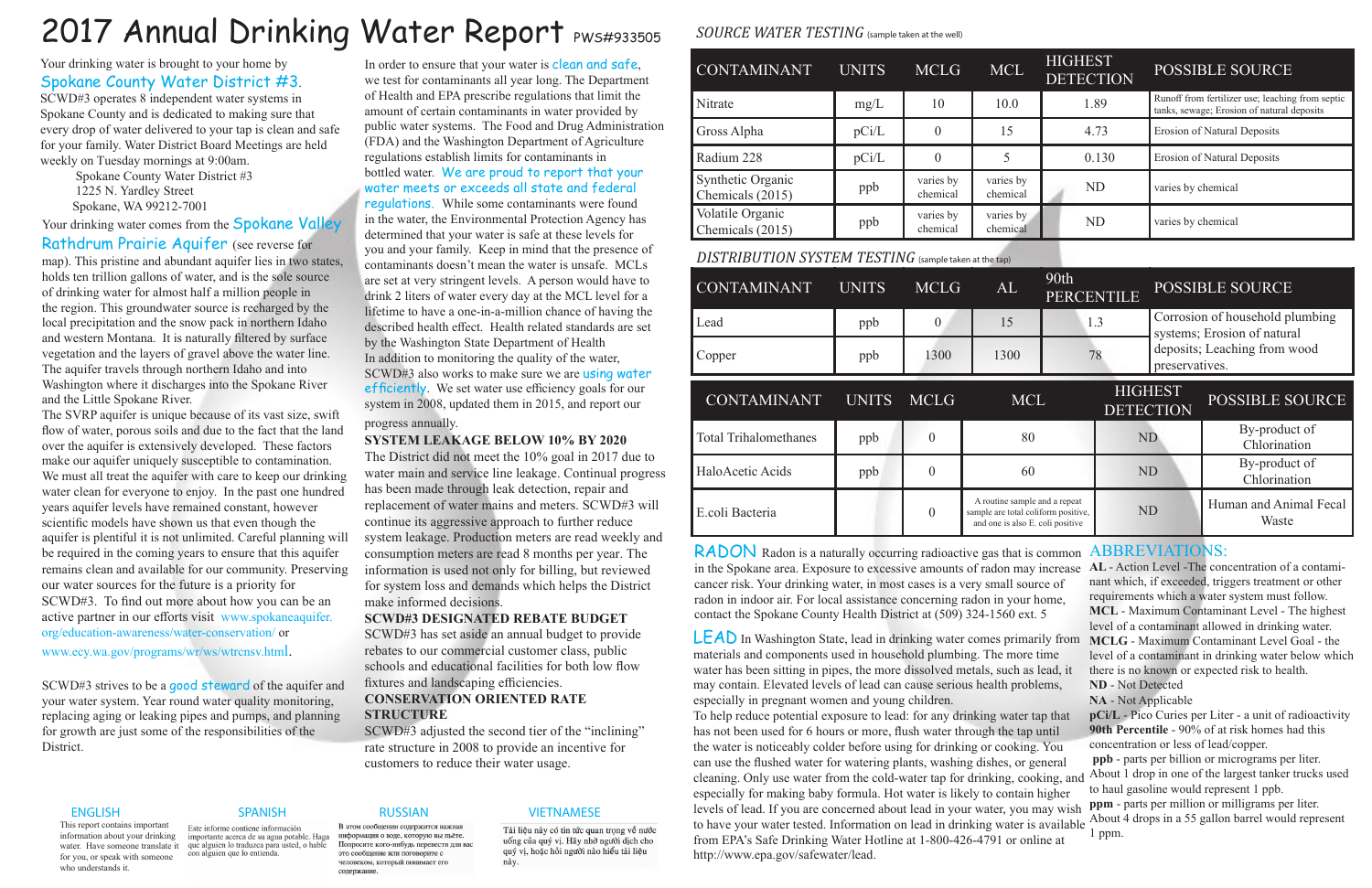LEAD In Washington State, lead in drinking water comes primarily from **MCLG** - Maximum Contaminant Level Goal - the materials and components used in household plumbing. The more time water has been sitting in pipes, the more dissolved metals, such as lead, it may contain. Elevated levels of lead can cause serious health problems, especially in pregnant women and young children.

RADON Radon is a naturally occurring radioactive gas that is common in the Spokane area. Exposure to excessive amounts of radon may increase **AL** - Action Level -The concentration of a contamicancer risk. Your drinking water, in most cases is a very small source of radon in indoor air. For local assistance concerning radon in your home, contact the Spokane County Health District at (509) 324-1560 ext. 5

Your drinking water comes from the **Spokane Valley** Rathdrum Prairie Aquifer (see reverse for map). This pristine and abundant aquifer lies in two states, holds ten trillion gallons of water, and is the sole source of drinking water for almost half a million people in the region. This groundwater source is recharged by the local precipitation and the snow pack in northern Idaho and western Montana. It is naturally filtered by surface vegetation and the layers of gravel above the water line. The aquifer travels through northern Idaho and into Washington where it discharges into the Spokane River and the Little Spokane River.

# 2017 Annual Drinking Water Report PWS#933505

# Your drinking water is brought to your home by Spokane County Water District #3. SCWD#3 operates 8 independent water systems in

Spokane County and is dedicated to making sure that every drop of water delivered to your tap is clean and safe for your family. Water District Board Meetings are held weekly on Tuesday mornings at 9:00am.

> Spokane County Water District #3 1225 N. Yardley Street Spokane, WA 99212-7001

> > To help reduce potential exposure to lead: for any drinking water tap that has not been used for 6 hours or more, flush water through the tap until the water is noticeably colder before using for drinking or cooking. You can use the flushed water for watering plants, washing dishes, or general cleaning. Only use water from the cold-water tap for drinking, cooking, and About 1 drop in one of the largest tanker trucks used especially for making baby formula. Hot water is likely to contain higher levels of lead. If you are concerned about lead in your water, you may wish to have your water tested. Information on lead in drinking water is available About 4 drops in a 55 gallon barrel would represent from EPA's Safe Drinking Water Hotline at 1-800-426-4791 or online at http://www.epa.gov/safewater/lead. **pCi/L** - Pico Curies per Liter - a unit of radioactivity **90th Percentile** - 90% of at risk homes had this concentration or less of lead/copper. **ppb** - parts per billion or micrograms per liter. to haul gasoline would represent 1 ppb. **ppm** - parts per million or milligrams per liter. 1 ppm.

The SVRP aquifer is unique because of its vast size, swift flow of water, porous soils and due to the fact that the land over the aquifer is extensively developed. These factors make our aquifer uniquely susceptible to contamination. We must all treat the aquifer with care to keep our drinking water clean for everyone to enjoy. In the past one hundred years aquifer levels have remained constant, however scientific models have shown us that even though the aquifer is plentiful it is not unlimited. Careful planning will be required in the coming years to ensure that this aquifer remains clean and available for our community. Preserving our water sources for the future is a priority for SCWD#3. To find out more about how you can be an active partner in our efforts visit www.spokaneaquifer. org/education-awareness/water-conservation/ or www.ecy.wa.gov/programs/wr/ws/wtrcnsv.html.

# In order to ensure that your water is clean and safe, we test for contaminants all year long. The Department of Health and EPA prescribe regulations that limit the amount of certain contaminants in water provided by public water systems. The Food and Drug Administration (FDA) and the Washington Department of Agriculture regulations establish limits for contaminants in bottled water. We are proud to report that your water meets or exceeds all state and federal regulations. While some contaminants were found in the water, the Environmental Protection Agency has determined that your water is safe at these levels for you and your family. Keep in mind that the presence of contaminants doesn't mean the water is unsafe. MCLs are set at very stringent levels. A person would have to drink 2 liters of water every day at the MCL level for a lifetime to have a one-in-a-million chance of having the described health effect. Health related standards are set by the Washington State Department of Health In addition to monitoring the quality of the water, SCWD#3 also works to make sure we are using water efficiently. We set water use efficiency goals for our system in 2008, updated them in 2015, and report our progress annually.

SCWD#3 strives to be a good steward of the aquifer and your water system. Year round water quality monitoring, replacing aging or leaking pipes and pumps, and planning for growth are just some of the responsibilities of the District.

### ENGLISH SPANISH RUSSIAN VIETNAMESE

Tài liệu này có tin tức quan trọng về nước quý vị, hoặc hỏi người nào hiểu tài liệu nàv.

This report contains important information about your drinking water. Have someone translate it que alguien lo traduzca para usted, o hable for you, or speak with someone who understands it.

Este informe contiene información importante acerca de su agua potable. Haga con alguien que lo entienda.

### В этом сообщении содержится важная информация о воде, которую вы пьёте. Попросите кого-нибудь перевести для вас

это сообщение или поговорите с человеком, который понимает его

содержание

uống của quý vị. Hãy nhờ người dịch cho

## ABBREVIATIONS:

nant which, if exceeded, triggers treatment or other requirements which a water system must follow. **MCL** - Maximum Contaminant Level - The highest level of a contaminant allowed in drinking water. level of a contaminant in drinking water below which there is no known or expected risk to health. **ND** - Not Detected

**NA** - Not Applicable

# **SYSTEM LEAKAGE BELOW 10% BY 2020**

The District did not meet the 10% goal in 2017 due to water main and service line leakage. Continual progress has been made through leak detection, repair and replacement of water mains and meters. SCWD#3 will continue its aggressive approach to further reduce system leakage. Production meters are read weekly and consumption meters are read 8 months per year. The information is used not only for billing, but reviewed for system loss and demands which helps the District make informed decisions.

## **SCWD#3 DESIGNATED REBATE BUDGET**

SCWD#3 has set aside an annual budget to provide rebates to our commercial customer class, public schools and educational facilities for both low flow fixtures and landscaping efficiencies.

# **CONSERVATION ORIENTED RATE STRUCTURE**

SCWD#3 adjusted the second tier of the "inclining" rate structure in 2008 to provide an incentive for customers to reduce their water usage.

# *SOURCE WATER TESTING* (sample taken at the well)

| <b>CONTAMINANT</b>                                    | <b>UNITS</b> | <b>MCLG</b>           | <b>MCL</b>                                                                                               | <b>HIGHEST</b><br><b>DETECTION</b> |                                    | <b>POSSIBLE SOURCE</b>                                                                                           |                                                                                                |  |
|-------------------------------------------------------|--------------|-----------------------|----------------------------------------------------------------------------------------------------------|------------------------------------|------------------------------------|------------------------------------------------------------------------------------------------------------------|------------------------------------------------------------------------------------------------|--|
| Nitrate                                               | mg/L         | 10                    | 10.0                                                                                                     |                                    | 1.89                               |                                                                                                                  | Runoff from fertilizer use; leaching from septic<br>tanks, sewage; Erosion of natural deposits |  |
| Gross Alpha                                           | pCi/L        | $\theta$              | 15                                                                                                       |                                    | 4.73                               |                                                                                                                  | <b>Erosion of Natural Deposits</b>                                                             |  |
| Radium 228                                            | pCi/L        | $\overline{0}$        | 5                                                                                                        |                                    | 0.130                              |                                                                                                                  | Erosion of Natural Deposits                                                                    |  |
| Synthetic Organic<br>Chemicals (2015)                 | ppb          | varies by<br>chemical | varies by<br>chemical                                                                                    | <b>ND</b>                          |                                    | varies by chemical                                                                                               |                                                                                                |  |
| Volatile Organic<br>Chemicals (2015)                  | ppb          | varies by<br>chemical | varies by<br>chemical                                                                                    | <b>ND</b>                          |                                    | varies by chemical                                                                                               |                                                                                                |  |
| DISTRIBUTION SYSTEM TESTING (sample taken at the tap) |              |                       |                                                                                                          |                                    |                                    |                                                                                                                  |                                                                                                |  |
| <b>CONTAMINANT</b>                                    | <b>UNITS</b> | <b>MCLG</b>           | AL                                                                                                       | 90th<br><b>PERCENTILE</b>          |                                    |                                                                                                                  | <b>POSSIBLE SOURCE</b>                                                                         |  |
| Lead                                                  | ppb          | $\overline{0}$        | 15                                                                                                       | 1.3                                |                                    | Corrosion of household plumbing<br>systems; Erosion of natural<br>deposits; Leaching from wood<br>preservatives. |                                                                                                |  |
| Copper                                                | ppb          | 1300                  | 1300                                                                                                     | 78                                 |                                    |                                                                                                                  |                                                                                                |  |
| <b>CONTAMINANT</b>                                    | <b>UNITS</b> | <b>MCLG</b>           | <b>MCL</b>                                                                                               |                                    | <b>HIGHEST</b><br><b>DETECTION</b> |                                                                                                                  | <b>POSSIBLE SOURCE</b>                                                                         |  |
| <b>Total Trihalomethanes</b>                          | ppb          | $\overline{0}$        | 80                                                                                                       |                                    | <b>ND</b>                          |                                                                                                                  | By-product of<br>Chlorination                                                                  |  |
| HaloAcetic Acids                                      | ppb          | $\overline{0}$        | 60                                                                                                       |                                    | <b>ND</b>                          |                                                                                                                  | By-product of<br>Chlorination                                                                  |  |
| E.coli Bacteria                                       |              | $\overline{0}$        | A routine sample and a repeat<br>sample are total coliform positive,<br>and one is also E. coli positive |                                    | <b>ND</b>                          |                                                                                                                  | Human and Animal Fecal<br>Waste                                                                |  |